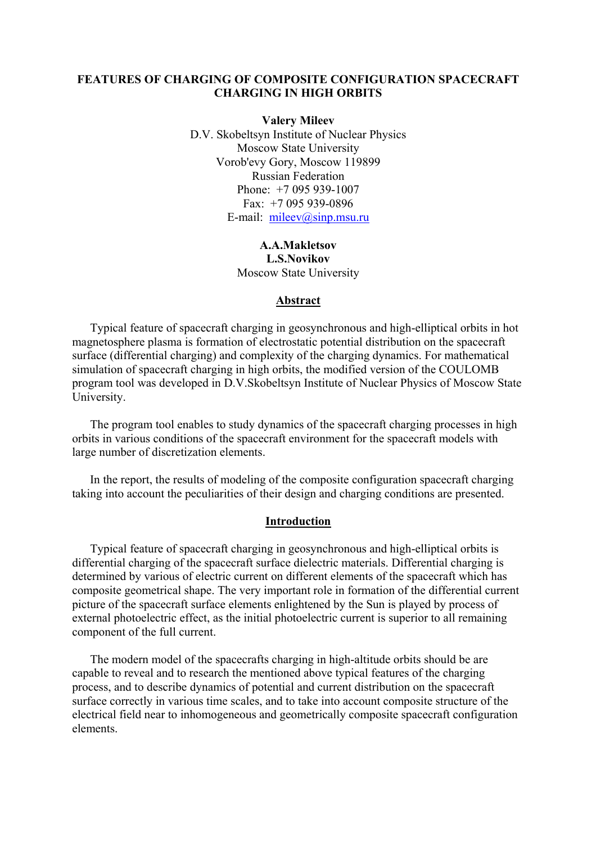## **FEATURES OF CHARGING OF COMPOSITE CONFIGURATION SPACECRAFT CHARGING IN HIGH ORBITS**

**Valery Mileev**  D.V. Skobeltsyn Institute of Nuclear Physics Moscow State University Vorob'evy Gory, Moscow 119899 Russian Federation Phone: +7 095 939-1007 Fax: +7 095 939-0896 E-mail: [mileev@sinp.msu.ru](mailto:mileev@sinp.msu.ru)

> **A.A.Makletsov L.S.Novikov**  Moscow State University

#### **Abstract**

Typical feature of spacecraft charging in geosynchronous and high-elliptical orbits in hot magnetosphere plasma is formation of electrostatic potential distribution on the spacecraft surface (differential charging) and complexity of the charging dynamics. For mathematical simulation of spacecraft charging in high orbits, the modified version of the COULOMB program tool was developed in D.V.Skobeltsyn Institute of Nuclear Physics of Moscow State University.

The program tool enables to study dynamics of the spacecraft charging processes in high orbits in various conditions of the spacecraft environment for the spacecraft models with large number of discretization elements.

In the report, the results of modeling of the composite configuration spacecraft charging taking into account the peculiarities of their design and charging conditions are presented.

### **Introduction**

Typical feature of spacecraft charging in geosynchronous and high-elliptical orbits is differential charging of the spacecraft surface dielectric materials. Differential charging is determined by various of electric current on different elements of the spacecraft which has composite geometrical shape. The very important role in formation of the differential current picture of the spacecraft surface elements enlightened by the Sun is played by process of external photoelectric effect, as the initial photoelectric current is superior to all remaining component of the full current.

The modern model of the spacecrafts charging in high-altitude orbits should be are capable to reveal and to research the mentioned above typical features of the charging process, and to describe dynamics of potential and current distribution on the spacecraft surface correctly in various time scales, and to take into account composite structure of the electrical field near to inhomogeneous and geometrically composite spacecraft configuration elements.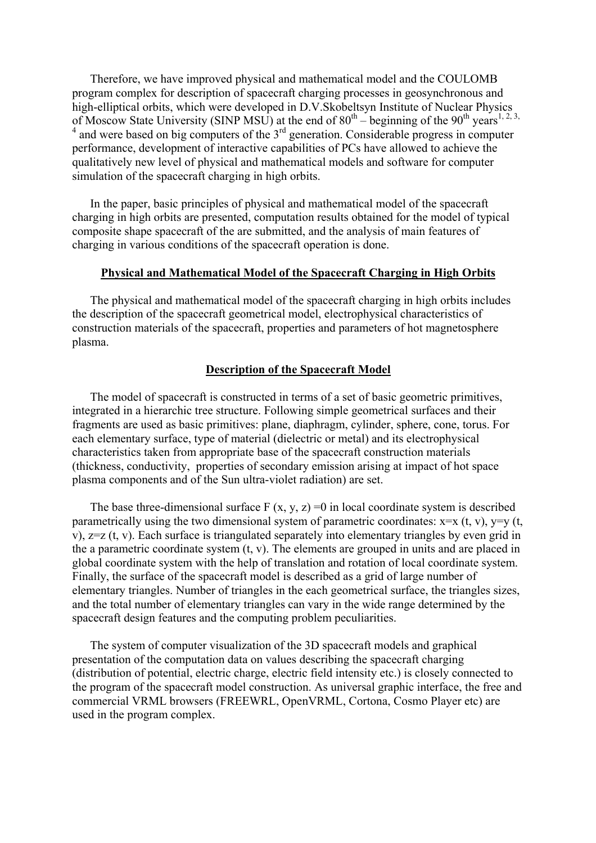Therefore, we have improved physical and mathematical model and the COULOMB program complex for description of spacecraft charging processes in geosynchronous and high-elliptical orbits, which were developed in D.V.Skobeltsyn Institute of Nuclear Physics of Moscow State University (SINP MSU) at the end of  $80^{th}$  – beginning of the  $90^{th}$  years<sup>1, 2, 3,</sup>  $4$  and were based on big computers of the  $3<sup>rd</sup>$  generation. Considerable progress in computer performance, development of interactive capabilities of PCs have allowed to achieve the qualitatively new level of physical and mathematical models and software for computer simulation of the spacecraft charging in high orbits.

In the paper, basic principles of physical and mathematical model of the spacecraft charging in high orbits are presented, computation results obtained for the model of typical composite shape spacecraft of the are submitted, and the analysis of main features of charging in various conditions of the spacecraft operation is done.

#### **Physical and Mathematical Model of the Spacecraft Charging in High Orbits**

The physical and mathematical model of the spacecraft charging in high orbits includes the description of the spacecraft geometrical model, electrophysical characteristics of construction materials of the spacecraft, properties and parameters of hot magnetosphere plasma.

# **Description of the Spacecraft Model**

The model of spacecraft is constructed in terms of a set of basic geometric primitives, integrated in a hierarchic tree structure. Following simple geometrical surfaces and their fragments are used as basic primitives: plane, diaphragm, cylinder, sphere, cone, torus. For each elementary surface, type of material (dielectric or metal) and its electrophysical characteristics taken from appropriate base of the spacecraft construction materials (thickness, conductivity, properties of secondary emission arising at impact of hot space plasma components and of the Sun ultra-violet radiation) are set.

The base three-dimensional surface  $F(x, y, z) = 0$  in local coordinate system is described parametrically using the two dimensional system of parametric coordinates:  $x=x(t, v)$ ,  $y=y(t, v)$ v), z=z (t, v). Each surface is triangulated separately into elementary triangles by even grid in the a parametric coordinate system (t, v). The elements are grouped in units and are placed in global coordinate system with the help of translation and rotation of local coordinate system. Finally, the surface of the spacecraft model is described as a grid of large number of elementary triangles. Number of triangles in the each geometrical surface, the triangles sizes, and the total number of elementary triangles can vary in the wide range determined by the spacecraft design features and the computing problem peculiarities.

The system of computer visualization of the 3D spacecraft models and graphical presentation of the computation data on values describing the spacecraft charging (distribution of potential, electric charge, electric field intensity etc.) is closely connected to the program of the spacecraft model construction. As universal graphic interface, the free and commercial VRML browsers (FREEWRL, OpenVRML, Cortona, Cosmo Player etc) are used in the program complex.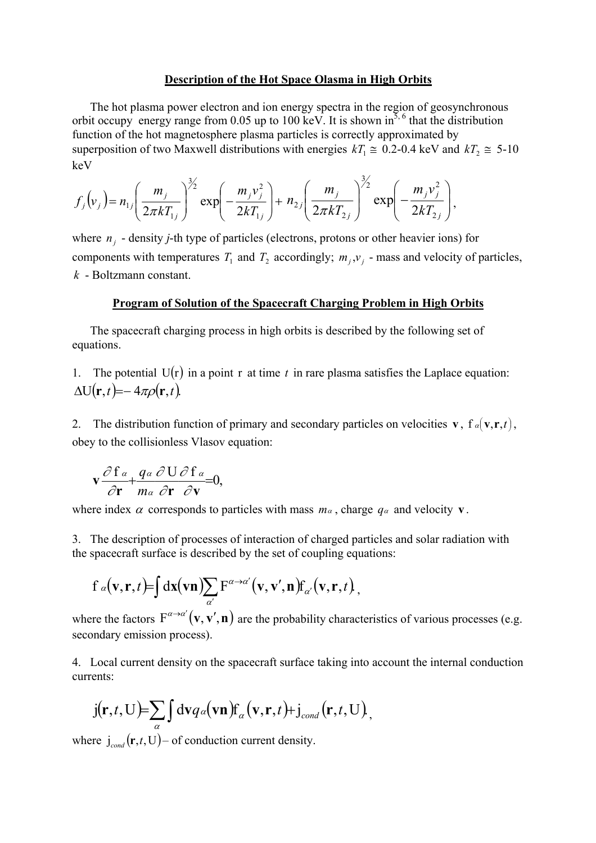#### **Description of the Hot Space Olasma in High Orbits**

The hot plasma power electron and ion energy spectra in the region of geosynchronous orbit occupy energy range from 0.05 up to 100 keV. It is shown in<sup>5, 6</sup> that the distribution function of the hot magnetosphere plasma particles is correctly approximated by superposition of two Maxwell distributions with energies  $kT_1 \approx 0.2$ -0.4 keV and  $kT_2 \approx 5$ -10 keV

$$
f_j(v_j) = n_{1j} \left( \frac{m_j}{2\pi k T_{1j}} \right)^{3/2} \exp\left( -\frac{m_j v_j^2}{2k T_{1j}} \right) + n_{2j} \left( \frac{m_j}{2\pi k T_{2j}} \right)^{3/2} \exp\left( -\frac{m_j v_j^2}{2k T_{2j}} \right),
$$

where  $n_j$  - density *j*-th type of particles (electrons, protons or other heavier ions) for components with temperatures  $T_1$  and  $T_2$  accordingly;  $m_j$ ,  $v_j$  - mass and velocity of particles, - Boltzmann constant. *k*

#### **Program of Solution of the Spacecraft Charging Problem in High Orbits**

The spacecraft charging process in high orbits is described by the following set of equations.

1. The potential  $U(r)$  in a point r at time t in rare plasma satisfies the Laplace equation:  $\Delta U(\mathbf{r},t) = -4\pi \rho(\mathbf{r},t).$ 

2. The distribution function of primary and secondary particles on velocities  $\mathbf{v}$ ,  $\mathbf{f} \alpha(\mathbf{v}, \mathbf{r}, t)$ , obey to the collisionless Vlasov equation:

$$
\mathbf{v} \frac{\partial \mathbf{f} \, \mathbf{a}}{\partial \mathbf{r}} + \frac{q \, \mathbf{a}}{m \, \mathbf{a}} \frac{\partial \, \mathbf{U} \, \partial \, \mathbf{f} \, \mathbf{a}}{\partial \mathbf{v}} = 0,
$$

where index  $\alpha$  corresponds to particles with mass  $m_\alpha$ , charge  $q_\alpha$  and velocity **v**.

3. The description of processes of interaction of charged particles and solar radiation with the spacecraft surface is described by the set of coupling equations:

$$
f_{\alpha}(\mathbf{v}, \mathbf{r}, t) = \int d\mathbf{x}(\mathbf{v}\mathbf{n}) \sum_{\alpha'} F^{\alpha \rightarrow \alpha'}(\mathbf{v}, \mathbf{v}', \mathbf{n}) f_{\alpha'}(\mathbf{v}, \mathbf{r}, t),
$$

where the factors  $F^{\alpha \to \alpha'}(v, v', n)$  are the probability characteristics of various processes (e.g. secondary emission process).

4. Local current density on the spacecraft surface taking into account the internal conduction currents:

$$
j(\mathbf{r},t,U)=\sum_{\alpha}\int d\mathbf{v}q_{\alpha}(\mathbf{v}\mathbf{n})f_{\alpha}(\mathbf{v},\mathbf{r},t)+j_{\text{cond}}(\mathbf{r},t,U),
$$

where  $\mathbf{j}_{cond}(\mathbf{r},t,\mathbf{U})$  – of conduction current density.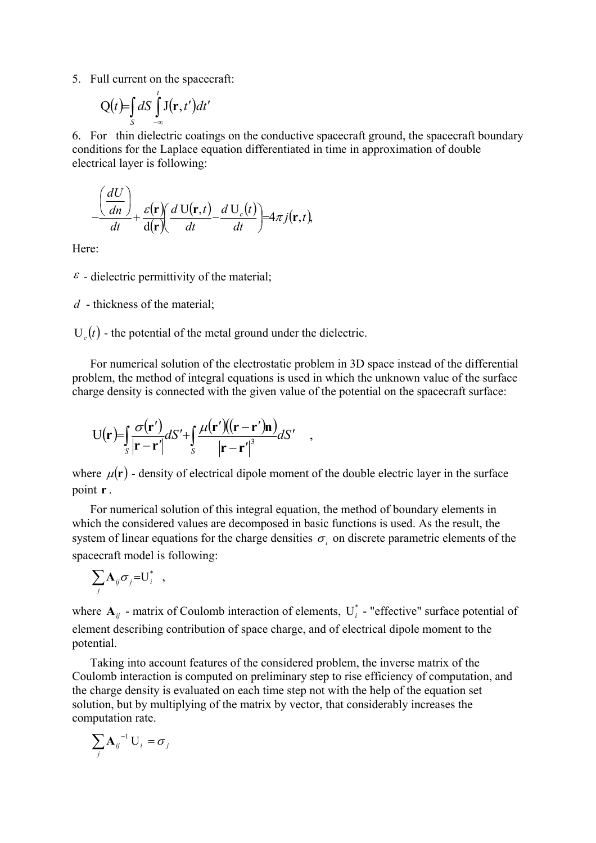5. Full current on the spacecraft:

$$
Q(t) = \int_{S} dS \int_{-\infty}^{t} J(\mathbf{r}, t') dt'
$$

6. For thin dielectric coatings on the conductive spacecraft ground, the spacecraft boundary conditions for the Laplace equation differentiated in time in approximation of double electrical layer is following:

$$
-\frac{\left(\frac{dU}{dn}\right)}{dt} + \frac{\varepsilon(\mathbf{r})}{d(\mathbf{r})}\left(\frac{dU(\mathbf{r},t)}{dt} - \frac{dU_c(t)}{dt}\right) = 4\pi j(\mathbf{r},t),
$$

Here:

 $\epsilon$  - dielectric permittivity of the material;

*d* - thickness of the material;

 $U_c(t)$  - the potential of the metal ground under the dielectric.

For numerical solution of the electrostatic problem in 3D space instead of the differential problem, the method of integral equations is used in which the unknown value of the surface charge density is connected with the given value of the potential on the spacecraft surface:

$$
U(\mathbf{r}) = \int_{S} \frac{\sigma(\mathbf{r}')}{|\mathbf{r} - \mathbf{r}'|} dS' + \int_{S} \frac{\mu(\mathbf{r}')((\mathbf{r} - \mathbf{r}')\mathbf{n})}{|\mathbf{r} - \mathbf{r}'|^{3}} dS' ,
$$

where  $\mu(\mathbf{r})$  - density of electrical dipole moment of the double electric layer in the surface point **r** .

For numerical solution of this integral equation, the method of boundary elements in which the considered values are decomposed in basic functions is used. As the result, the system of linear equations for the charge densities  $\sigma_i$  on discrete parametric elements of the spacecraft model is following:

$$
\sum_j \mathbf{A}_{ij} \sigma_j = U_i^* \quad ,
$$

where  $A_{ij}$  - matrix of Coulomb interaction of elements,  $U_i^*$  - "effective" surface potential of element describing contribution of space charge, and of electrical dipole moment to the potential.

Taking into account features of the considered problem, the inverse matrix of the Coulomb interaction is computed on preliminary step to rise efficiency of computation, and the charge density is evaluated on each time step not with the help of the equation set solution, but by multiplying of the matrix by vector, that considerably increases the computation rate.

$$
\sum_j \mathbf{A}_{ij}^{-1} \mathbf{U}_i = \boldsymbol{\sigma}_j
$$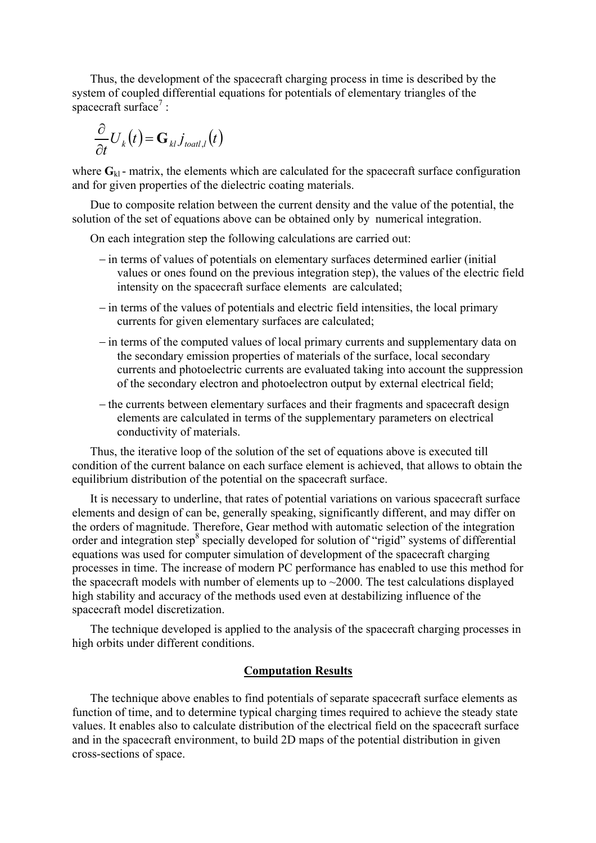Thus, the development of the spacecraft charging process in time is described by the system of coupled differential equations for potentials of elementary triangles of the spacecraft surface<sup>7</sup>:

$$
\frac{\partial}{\partial t}U_k(t) = \mathbf{G}_{kl} j_{\text{toatt},l}(t)
$$

where  $\mathbf{G}_{k1}$  - matrix, the elements which are calculated for the spacecraft surface configuration and for given properties of the dielectric coating materials.

Due to composite relation between the current density and the value of the potential, the solution of the set of equations above can be obtained only by numerical integration.

On each integration step the following calculations are carried out:

- − in terms of values of potentials on elementary surfaces determined earlier (initial values or ones found on the previous integration step), the values of the electric field intensity on the spacecraft surface elements are calculated;
- − in terms of the values of potentials and electric field intensities, the local primary currents for given elementary surfaces are calculated;
- − in terms of the computed values of local primary currents and supplementary data on the secondary emission properties of materials of the surface, local secondary currents and photoelectric currents are evaluated taking into account the suppression of the secondary electron and photoelectron output by external electrical field;
- − the currents between elementary surfaces and their fragments and spacecraft design elements are calculated in terms of the supplementary parameters on electrical conductivity of materials.

Thus, the iterative loop of the solution of the set of equations above is executed till condition of the current balance on each surface element is achieved, that allows to obtain the equilibrium distribution of the potential on the spacecraft surface.

It is necessary to underline, that rates of potential variations on various spacecraft surface elements and design of can be, generally speaking, significantly different, and may differ on the orders of magnitude. Therefore, Gear method with automatic selection of the integration order and integration step<sup>8</sup> specially developed for solution of "rigid" systems of differential equations was used for computer simulation of development of the spacecraft charging processes in time. The increase of modern PC performance has enabled to use this method for the spacecraft models with number of elements up to  $\sim$ 2000. The test calculations displayed high stability and accuracy of the methods used even at destabilizing influence of the spacecraft model discretization.

The technique developed is applied to the analysis of the spacecraft charging processes in high orbits under different conditions.

#### **Computation Results**

The technique above enables to find potentials of separate spacecraft surface elements as function of time, and to determine typical charging times required to achieve the steady state values. It enables also to calculate distribution of the electrical field on the spacecraft surface and in the spacecraft environment, to build 2D maps of the potential distribution in given cross-sections of space.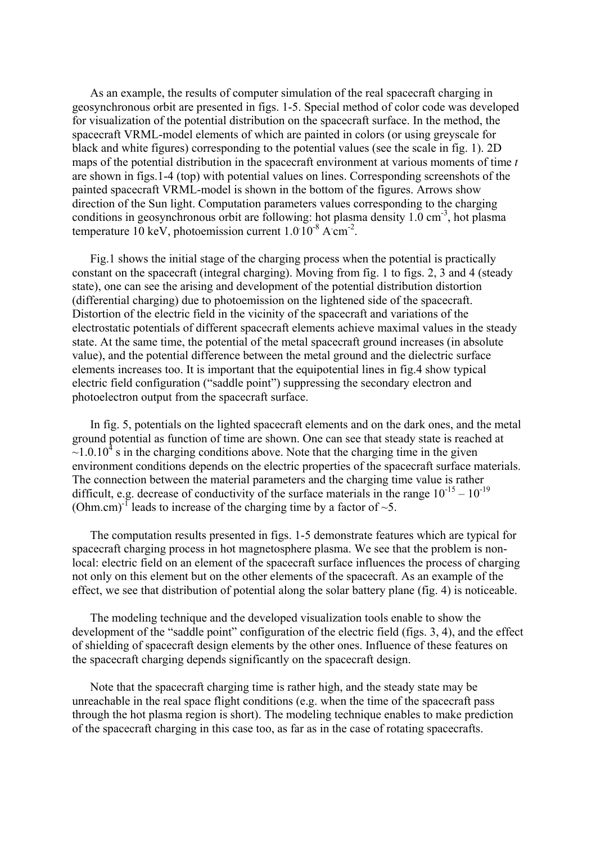As an example, the results of computer simulation of the real spacecraft charging in geosynchronous orbit are presented in figs. 1-5. Special method of color code was developed for visualization of the potential distribution on the spacecraft surface. In the method, the spacecraft VRML-model elements of which are painted in colors (or using greyscale for black and white figures) corresponding to the potential values (see the scale in fig. 1). 2D maps of the potential distribution in the spacecraft environment at various moments of time *t*  are shown in figs.1-4 (top) with potential values on lines. Corresponding screenshots of the painted spacecraft VRML-model is shown in the bottom of the figures. Arrows show direction of the Sun light. Computation parameters values corresponding to the charging conditions in geosynchronous orbit are following: hot plasma density  $1.0 \text{ cm}^{-3}$ , hot plasma temperature 10 keV, photoemission current  $1.0\overline{10}^8$  A cm<sup>-2</sup>.

Fig.1 shows the initial stage of the charging process when the potential is practically constant on the spacecraft (integral charging). Moving from fig. 1 to figs. 2, 3 and 4 (steady state), one can see the arising and development of the potential distribution distortion (differential charging) due to photoemission on the lightened side of the spacecraft. Distortion of the electric field in the vicinity of the spacecraft and variations of the electrostatic potentials of different spacecraft elements achieve maximal values in the steady state. At the same time, the potential of the metal spacecraft ground increases (in absolute value), and the potential difference between the metal ground and the dielectric surface elements increases too. It is important that the equipotential lines in fig.4 show typical electric field configuration ("saddle point") suppressing the secondary electron and photoelectron output from the spacecraft surface.

In fig. 5, potentials on the lighted spacecraft elements and on the dark ones, and the metal ground potential as function of time are shown. One can see that steady state is reached at  $\sim$ 1.0.10<sup>4</sup> s in the charging conditions above. Note that the charging time in the given environment conditions depends on the electric properties of the spacecraft surface materials. The connection between the material parameters and the charging time value is rather difficult, e.g. decrease of conductivity of the surface materials in the range  $10^{-15} - 10^{-19}$ (Ohm.cm)<sup>-1</sup> leads to increase of the charging time by a factor of  $\sim$ 5.

The computation results presented in figs. 1-5 demonstrate features which are typical for spacecraft charging process in hot magnetosphere plasma. We see that the problem is nonlocal: electric field on an element of the spacecraft surface influences the process of charging not only on this element but on the other elements of the spacecraft. As an example of the effect, we see that distribution of potential along the solar battery plane (fig. 4) is noticeable.

The modeling technique and the developed visualization tools enable to show the development of the "saddle point" configuration of the electric field (figs. 3, 4), and the effect of shielding of spacecraft design elements by the other ones. Influence of these features on the spacecraft charging depends significantly on the spacecraft design.

Note that the spacecraft charging time is rather high, and the steady state may be unreachable in the real space flight conditions (e.g. when the time of the spacecraft pass through the hot plasma region is short). The modeling technique enables to make prediction of the spacecraft charging in this case too, as far as in the case of rotating spacecrafts.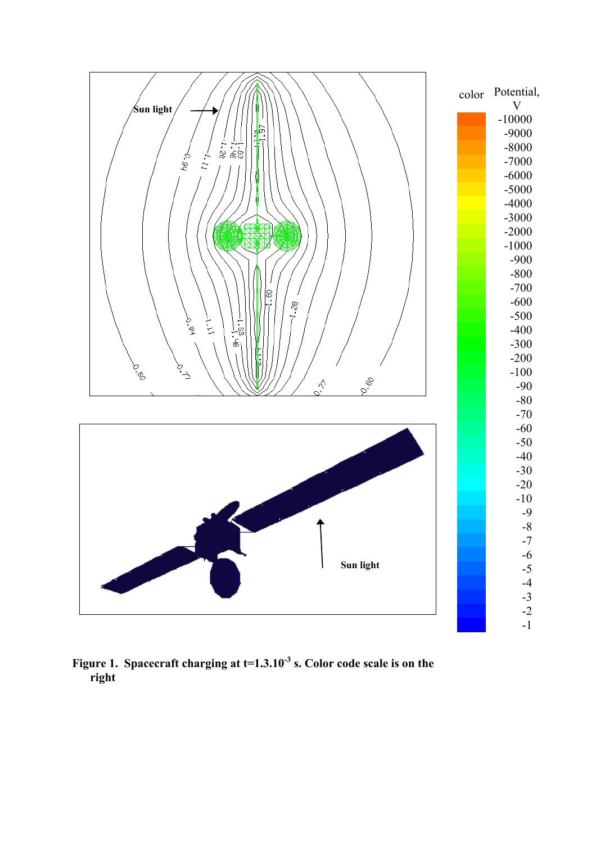

Figure 1. Spacecraft charging at t=1.3.10<sup>-3</sup> s. Color code scale is on the **right**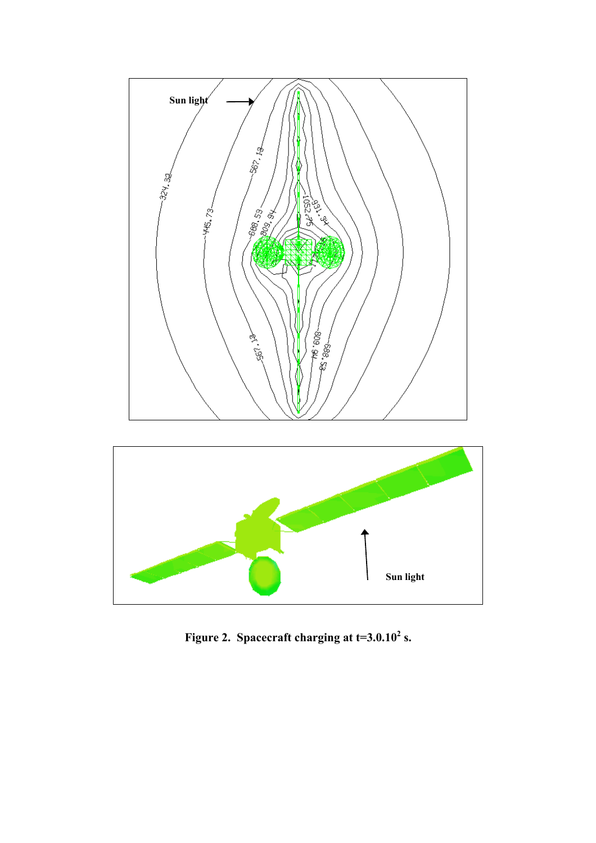

**Figure 2.** Spacecraft charging at  $t=3.0.10^2$  s.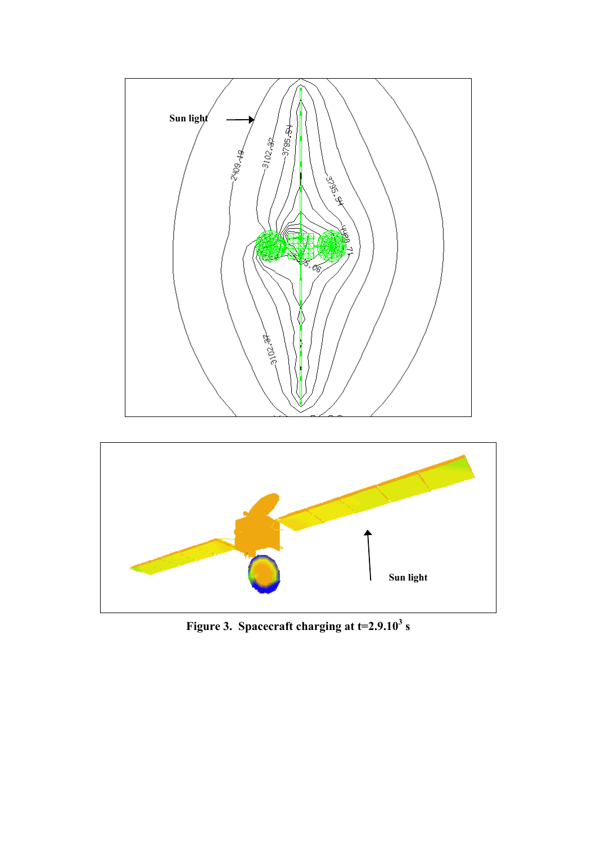

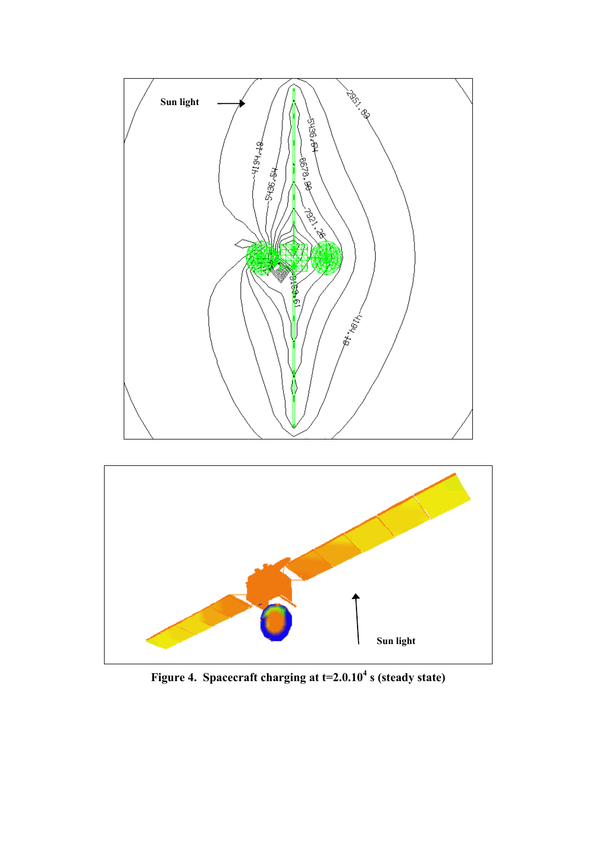



Figure 4. Spacecraft charging at t=2.0.10<sup>4</sup> s (steady state)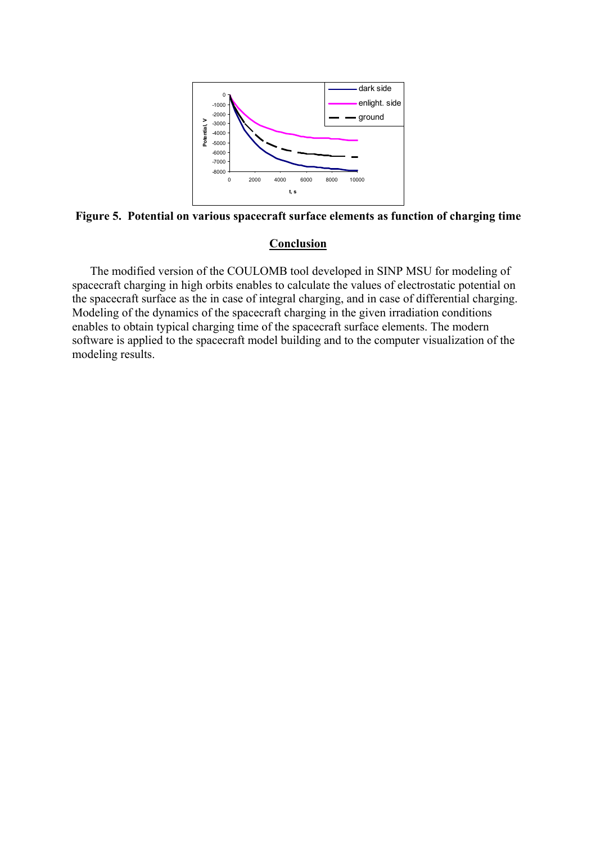

**Figure 5. Potential on various spacecraft surface elements as function of charging time** 

## **Conclusion**

The modified version of the COULOMB tool developed in SINP MSU for modeling of spacecraft charging in high orbits enables to calculate the values of electrostatic potential on the spacecraft surface as the in case of integral charging, and in case of differential charging. Modeling of the dynamics of the spacecraft charging in the given irradiation conditions enables to obtain typical charging time of the spacecraft surface elements. The modern software is applied to the spacecraft model building and to the computer visualization of the modeling results.